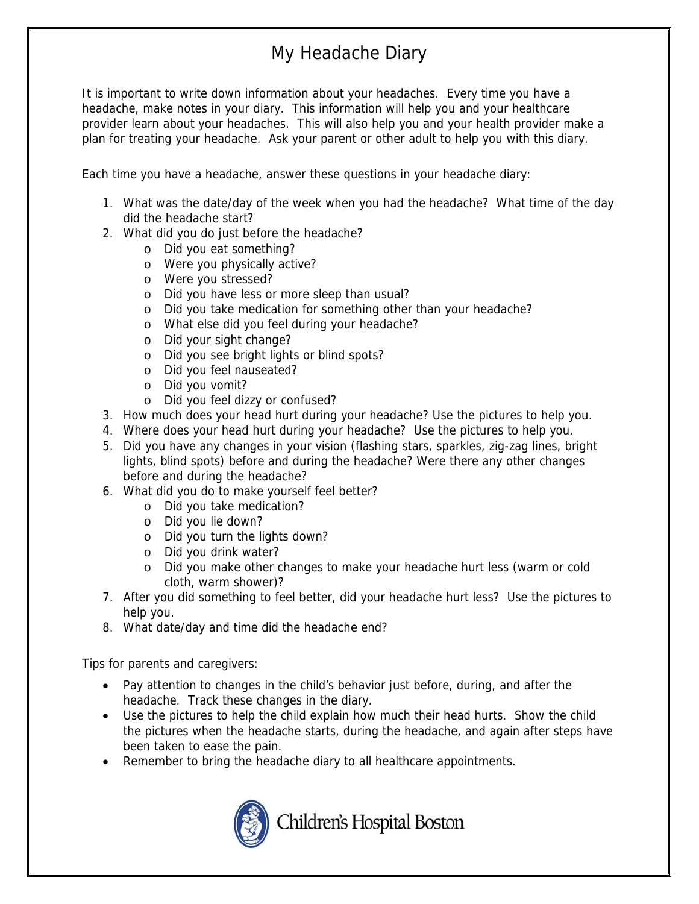## My Headache Diary

It is important to write down information about your headaches. Every time you have a headache, make notes in your diary. This information will help you and your healthcare provider learn about your headaches. This will also help you and your health provider make a plan for treating your headache. Ask your parent or other adult to help you with this diary.

Each time you have a headache, answer these questions in your headache diary:

- 1. What was the date/day of the week when you had the headache? What time of the day did the headache start?
- 2. What did you do just before the headache?
	- o Did you eat something?
	- o Were you physically active?
	- o Were you stressed?
	- o Did you have less or more sleep than usual?
	- o Did you take medication for something other than your headache?
	- o What else did you feel during your headache?
	- o Did your sight change?
	- o Did you see bright lights or blind spots?
	- o Did you feel nauseated?
	- o Did you vomit?
	- o Did you feel dizzy or confused?
- 3. How much does your head hurt during your headache? Use the pictures to help you.
- 4. Where does your head hurt during your headache? Use the pictures to help you.
- 5. Did you have any changes in your vision (flashing stars, sparkles, zig-zag lines, bright lights, blind spots) before and during the headache? Were there any other changes before and during the headache?
- 6. What did you do to make yourself feel better?
	- o Did you take medication?
	- o Did you lie down?
	- o Did you turn the lights down?
	- o Did you drink water?
	- o Did you make other changes to make your headache hurt less (warm or cold cloth, warm shower)?
- 7. After you did something to feel better, did your headache hurt less? Use the pictures to help you.
- 8. What date/day and time did the headache end?

Tips for parents and caregivers:

- Pay attention to changes in the child's behavior just before, during, and after the headache. Track these changes in the diary.
- Use the pictures to help the child explain how much their head hurts. Show the child the pictures when the headache starts, during the headache, and again after steps have been taken to ease the pain.
- Remember to bring the headache diary to all healthcare appointments.



Children's Hospital Boston